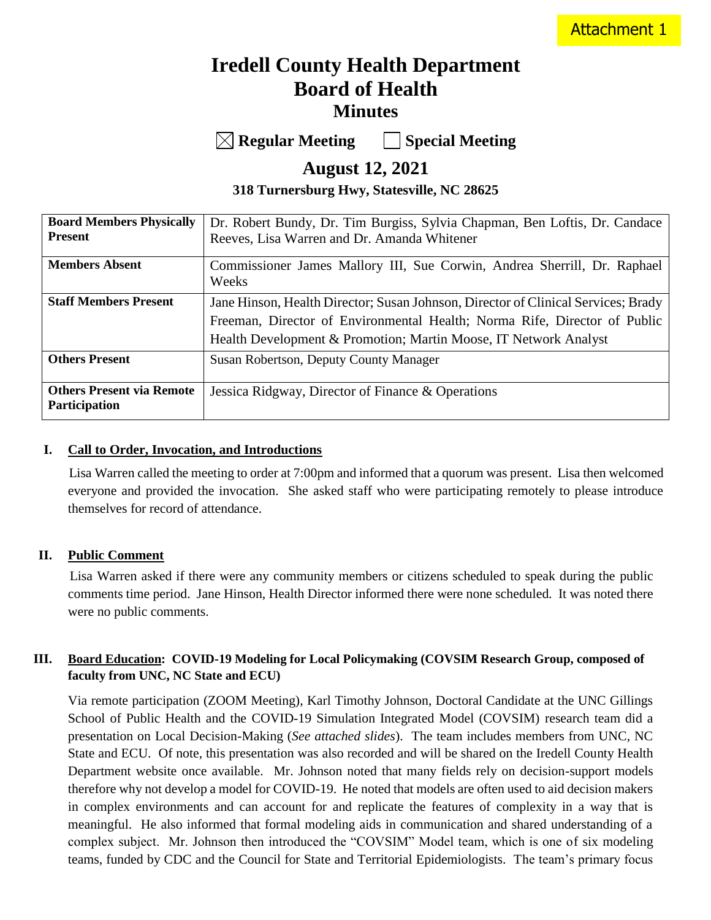# **Iredell County Health Department Board of Health Minutes**

**Regular Meeting Special Meeting**

**August 12, 2021**

**318 Turnersburg Hwy, Statesville, NC 28625**

| <b>Board Members Physically</b>                   | Dr. Robert Bundy, Dr. Tim Burgiss, Sylvia Chapman, Ben Loftis, Dr. Candace                                                                                                                                                         |
|---------------------------------------------------|------------------------------------------------------------------------------------------------------------------------------------------------------------------------------------------------------------------------------------|
| <b>Present</b>                                    | Reeves, Lisa Warren and Dr. Amanda Whitener                                                                                                                                                                                        |
| <b>Members Absent</b>                             | Commissioner James Mallory III, Sue Corwin, Andrea Sherrill, Dr. Raphael<br>Weeks                                                                                                                                                  |
| <b>Staff Members Present</b>                      | Jane Hinson, Health Director; Susan Johnson, Director of Clinical Services; Brady<br>Freeman, Director of Environmental Health; Norma Rife, Director of Public<br>Health Development & Promotion; Martin Moose, IT Network Analyst |
| <b>Others Present</b>                             | Susan Robertson, Deputy County Manager                                                                                                                                                                                             |
| <b>Others Present via Remote</b><br>Participation | Jessica Ridgway, Director of Finance & Operations                                                                                                                                                                                  |

### **I. Call to Order, Invocation, and Introductions**

 Lisa Warren called the meeting to order at 7:00pm and informed that a quorum was present. Lisa then welcomed everyone and provided the invocation. She asked staff who were participating remotely to please introduce themselves for record of attendance.

#### **II. Public Comment**

 Lisa Warren asked if there were any community members or citizens scheduled to speak during the public comments time period. Jane Hinson, Health Director informed there were none scheduled. It was noted there were no public comments.

### **III. Board Education: COVID-19 Modeling for Local Policymaking (COVSIM Research Group, composed of faculty from UNC, NC State and ECU)**

Via remote participation (ZOOM Meeting), Karl Timothy Johnson, Doctoral Candidate at the UNC Gillings School of Public Health and the COVID-19 Simulation Integrated Model (COVSIM) research team did a presentation on Local Decision-Making (*See attached slides*). The team includes members from UNC, NC State and ECU. Of note, this presentation was also recorded and will be shared on the Iredell County Health Department website once available. Mr. Johnson noted that many fields rely on decision-support models therefore why not develop a model for COVID-19. He noted that models are often used to aid decision makers in complex environments and can account for and replicate the features of complexity in a way that is meaningful. He also informed that formal modeling aids in communication and shared understanding of a complex subject. Mr. Johnson then introduced the "COVSIM" Model team, which is one of six modeling teams, funded by CDC and the Council for State and Territorial Epidemiologists. The team's primary focus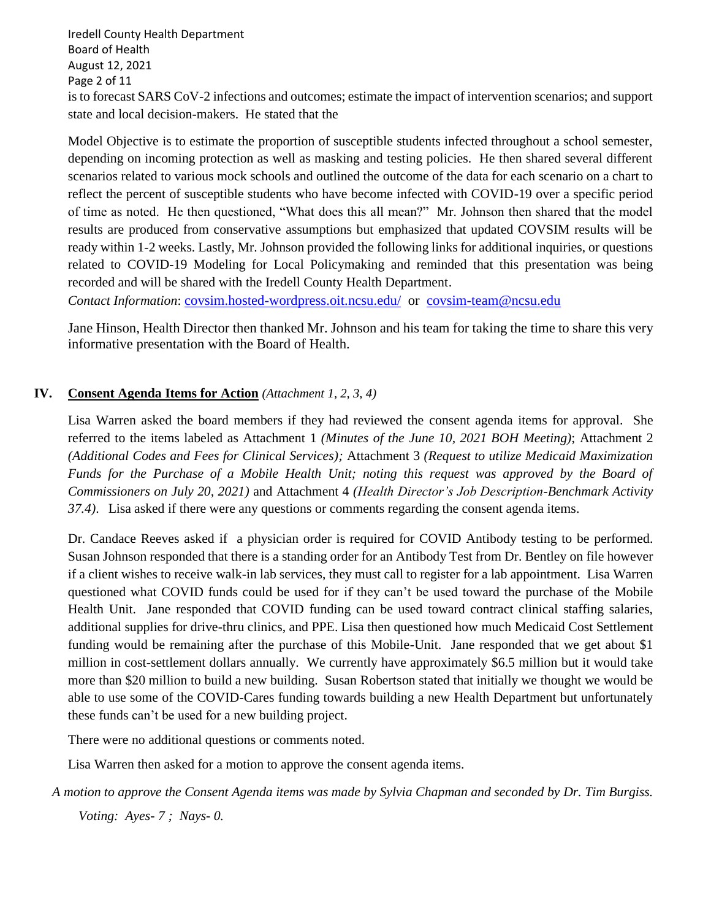Iredell County Health Department Board of Health August 12, 2021 Page 2 of 11 is to forecast SARS CoV-2 infections and outcomes; estimate the impact of intervention scenarios; and support state and local decision-makers. He stated that the

Model Objective is to estimate the proportion of susceptible students infected throughout a school semester, depending on incoming protection as well as masking and testing policies. He then shared several different scenarios related to various mock schools and outlined the outcome of the data for each scenario on a chart to reflect the percent of susceptible students who have become infected with COVID-19 over a specific period of time as noted. He then questioned, "What does this all mean?" Mr. Johnson then shared that the model results are produced from conservative assumptions but emphasized that updated COVSIM results will be ready within 1-2 weeks. Lastly, Mr. Johnson provided the following links for additional inquiries, or questions related to COVID-19 Modeling for Local Policymaking and reminded that this presentation was being recorded and will be shared with the Iredell County Health Department.

*Contact Information*: [covsim.hosted-wordpress.oit.ncsu.edu/](file://///ichdfiles/health_director/BOH/BOH%20Meeting%20August%202021/covsim.hosted-wordpress.oit.ncsu.edu/) or [covsim-team@ncsu.edu](mailto:covsim-team@ncsu.edu)

Jane Hinson, Health Director then thanked Mr. Johnson and his team for taking the time to share this very informative presentation with the Board of Health.

### **IV. Consent Agenda Items for Action** *(Attachment 1, 2, 3, 4)*

Lisa Warren asked the board members if they had reviewed the consent agenda items for approval. She referred to the items labeled as Attachment 1 *(Minutes of the June 10, 2021 BOH Meeting)*; Attachment 2 *(Additional Codes and Fees for Clinical Services);* Attachment 3 *(Request to utilize Medicaid Maximization Funds for the Purchase of a Mobile Health Unit; noting this request was approved by the Board of Commissioners on July 20, 2021)* and Attachment 4 *(Health Director's Job Description-Benchmark Activity 37.4)*. Lisa asked if there were any questions or comments regarding the consent agenda items.

Dr. Candace Reeves asked if a physician order is required for COVID Antibody testing to be performed. Susan Johnson responded that there is a standing order for an Antibody Test from Dr. Bentley on file however if a client wishes to receive walk-in lab services, they must call to register for a lab appointment. Lisa Warren questioned what COVID funds could be used for if they can't be used toward the purchase of the Mobile Health Unit. Jane responded that COVID funding can be used toward contract clinical staffing salaries, additional supplies for drive-thru clinics, and PPE. Lisa then questioned how much Medicaid Cost Settlement funding would be remaining after the purchase of this Mobile-Unit. Jane responded that we get about \$1 million in cost-settlement dollars annually. We currently have approximately \$6.5 million but it would take more than \$20 million to build a new building. Susan Robertson stated that initially we thought we would be able to use some of the COVID-Cares funding towards building a new Health Department but unfortunately these funds can't be used for a new building project.

There were no additional questions or comments noted.

Lisa Warren then asked for a motion to approve the consent agenda items.

*A motion to approve the Consent Agenda items was made by Sylvia Chapman and seconded by Dr. Tim Burgiss.*

*Voting: Ayes- 7 ; Nays- 0.*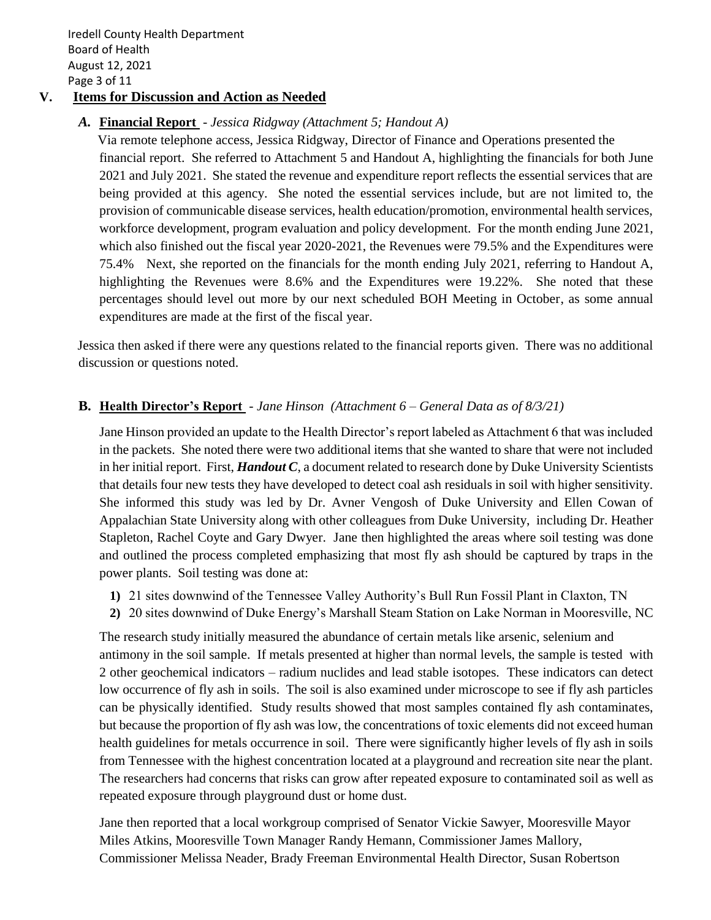Iredell County Health Department Board of Health August 12, 2021 Page 3 of 11

### **V. Items for Discussion and Action as Needed**

### *A.* **Financial Report** - *Jessica Ridgway (Attachment 5; Handout A)*

 Via remote telephone access, Jessica Ridgway, Director of Finance and Operations presented the financial report. She referred to Attachment 5 and Handout A, highlighting the financials for both June 2021 and July 2021. She stated the revenue and expenditure report reflects the essential services that are being provided at this agency. She noted the essential services include, but are not limited to, the provision of communicable disease services, health education/promotion, environmental health services, workforce development, program evaluation and policy development. For the month ending June 2021, which also finished out the fiscal year 2020-2021, the Revenues were 79.5% and the Expenditures were 75.4% Next, she reported on the financials for the month ending July 2021, referring to Handout A, highlighting the Revenues were 8.6% and the Expenditures were 19.22%. She noted that these percentages should level out more by our next scheduled BOH Meeting in October, as some annual expenditures are made at the first of the fiscal year.

 Jessica then asked if there were any questions related to the financial reports given. There was no additional discussion or questions noted.

### **B. Health Director's Report** - *Jane Hinson (Attachment 6 – General Data as of 8/3/21)*

Jane Hinson provided an update to the Health Director's report labeled as Attachment 6 that was included in the packets. She noted there were two additional items that she wanted to share that were not included in her initial report. First, *Handout C*, a document related to research done by Duke University Scientists that details four new tests they have developed to detect coal ash residuals in soil with higher sensitivity. She informed this study was led by Dr. Avner Vengosh of Duke University and Ellen Cowan of Appalachian State University along with other colleagues from Duke University, including Dr. Heather Stapleton, Rachel Coyte and Gary Dwyer. Jane then highlighted the areas where soil testing was done and outlined the process completed emphasizing that most fly ash should be captured by traps in the power plants. Soil testing was done at:

- **1)** 21 sites downwind of the Tennessee Valley Authority's Bull Run Fossil Plant in Claxton, TN
- **2)** 20 sites downwind of Duke Energy's Marshall Steam Station on Lake Norman in Mooresville, NC

The research study initially measured the abundance of certain metals like arsenic, selenium and antimony in the soil sample. If metals presented at higher than normal levels, the sample is tested with 2 other geochemical indicators – radium nuclides and lead stable isotopes. These indicators can detect low occurrence of fly ash in soils. The soil is also examined under microscope to see if fly ash particles can be physically identified. Study results showed that most samples contained fly ash contaminates, but because the proportion of fly ash was low, the concentrations of toxic elements did not exceed human health guidelines for metals occurrence in soil. There were significantly higher levels of fly ash in soils from Tennessee with the highest concentration located at a playground and recreation site near the plant. The researchers had concerns that risks can grow after repeated exposure to contaminated soil as well as repeated exposure through playground dust or home dust.

Jane then reported that a local workgroup comprised of Senator Vickie Sawyer, Mooresville Mayor Miles Atkins, Mooresville Town Manager Randy Hemann, Commissioner James Mallory, Commissioner Melissa Neader, Brady Freeman Environmental Health Director, Susan Robertson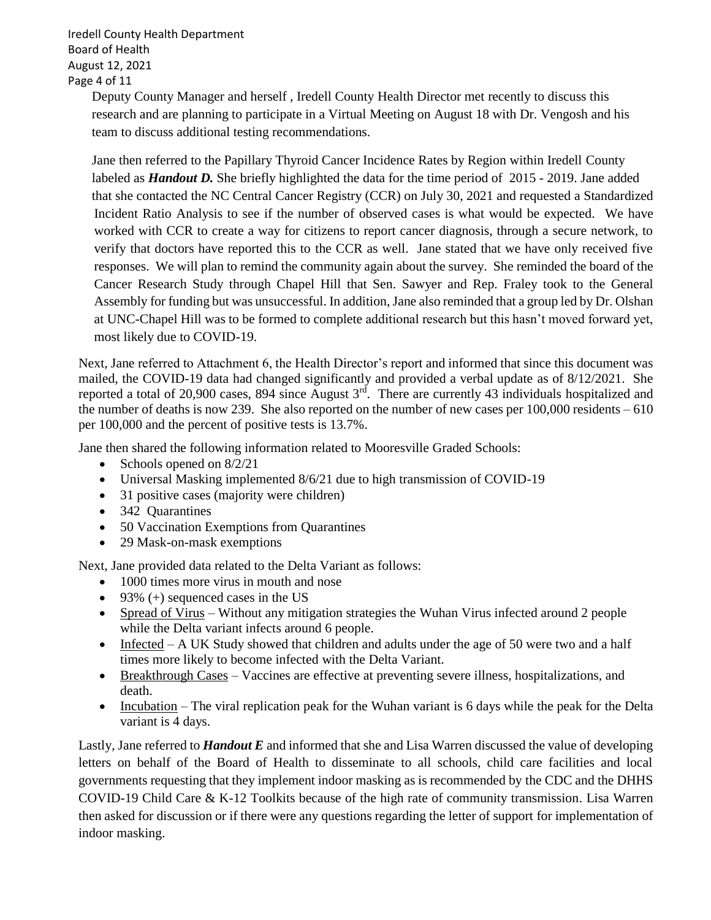Iredell County Health Department Board of Health August 12, 2021 Page 4 of 11

> Deputy County Manager and herself , Iredell County Health Director met recently to discuss this research and are planning to participate in a Virtual Meeting on August 18 with Dr. Vengosh and his team to discuss additional testing recommendations.

 Jane then referred to the Papillary Thyroid Cancer Incidence Rates by Region within Iredell County labeled as *Handout D.* She briefly highlighted the data for the time period of 2015 - 2019. Jane added that she contacted the NC Central Cancer Registry (CCR) on July 30, 2021 and requested a Standardized Incident Ratio Analysis to see if the number of observed cases is what would be expected. We have worked with CCR to create a way for citizens to report cancer diagnosis, through a secure network, to verify that doctors have reported this to the CCR as well. Jane stated that we have only received five responses. We will plan to remind the community again about the survey. She reminded the board of the Cancer Research Study through Chapel Hill that Sen. Sawyer and Rep. Fraley took to the General Assembly for funding but was unsuccessful. In addition, Jane also reminded that a group led by Dr. Olshan at UNC-Chapel Hill was to be formed to complete additional research but this hasn't moved forward yet, most likely due to COVID-19.

Next, Jane referred to Attachment 6, the Health Director's report and informed that since this document was mailed, the COVID-19 data had changed significantly and provided a verbal update as of 8/12/2021. She reported a total of 20,900 cases, 894 since August  $3<sup>rd</sup>$ . There are currently 43 individuals hospitalized and the number of deaths is now 239. She also reported on the number of new cases per  $100,000$  residents  $-610$ per 100,000 and the percent of positive tests is 13.7%.

Jane then shared the following information related to Mooresville Graded Schools:

- Schools opened on 8/2/21
- Universal Masking implemented 8/6/21 due to high transmission of COVID-19
- 31 positive cases (majority were children)
- 342 Quarantines
- 50 Vaccination Exemptions from Quarantines
- 29 Mask-on-mask exemptions

Next, Jane provided data related to the Delta Variant as follows:

- 1000 times more virus in mouth and nose
- 93%  $(+)$  sequenced cases in the US
- Spread of Virus Without any mitigation strategies the Wuhan Virus infected around 2 people while the Delta variant infects around 6 people.
- Infected  $-A$  UK Study showed that children and adults under the age of 50 were two and a half times more likely to become infected with the Delta Variant.
- Breakthrough Cases Vaccines are effective at preventing severe illness, hospitalizations, and death.
- Incubation The viral replication peak for the Wuhan variant is 6 days while the peak for the Delta variant is 4 days.

Lastly, Jane referred to *Handout E* and informed that she and Lisa Warren discussed the value of developing letters on behalf of the Board of Health to disseminate to all schools, child care facilities and local governments requesting that they implement indoor masking as is recommended by the CDC and the DHHS COVID-19 Child Care & K-12 Toolkits because of the high rate of community transmission. Lisa Warren then asked for discussion or if there were any questions regarding the letter of support for implementation of indoor masking.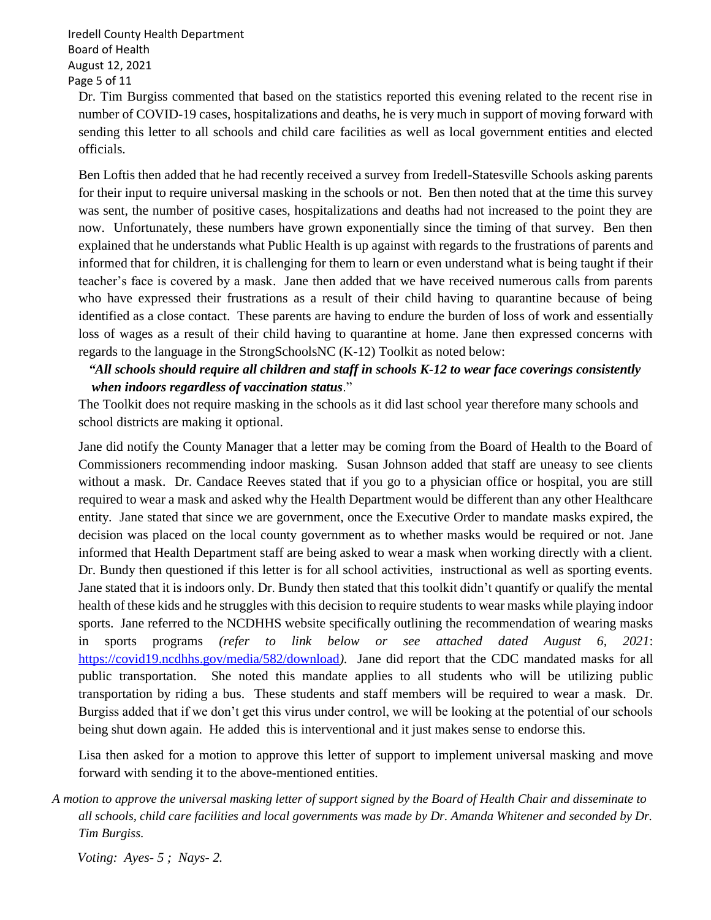Iredell County Health Department Board of Health August 12, 2021 Page 5 of 11

Dr. Tim Burgiss commented that based on the statistics reported this evening related to the recent rise in number of COVID-19 cases, hospitalizations and deaths, he is very much in support of moving forward with sending this letter to all schools and child care facilities as well as local government entities and elected officials.

Ben Loftis then added that he had recently received a survey from Iredell-Statesville Schools asking parents for their input to require universal masking in the schools or not. Ben then noted that at the time this survey was sent, the number of positive cases, hospitalizations and deaths had not increased to the point they are now. Unfortunately, these numbers have grown exponentially since the timing of that survey. Ben then explained that he understands what Public Health is up against with regards to the frustrations of parents and informed that for children, it is challenging for them to learn or even understand what is being taught if their teacher's face is covered by a mask. Jane then added that we have received numerous calls from parents who have expressed their frustrations as a result of their child having to quarantine because of being identified as a close contact. These parents are having to endure the burden of loss of work and essentially loss of wages as a result of their child having to quarantine at home. Jane then expressed concerns with regards to the language in the StrongSchoolsNC (K-12) Toolkit as noted below:

### *"All schools should require all children and staff in schools K-12 to wear face coverings consistently when indoors regardless of vaccination status*."

The Toolkit does not require masking in the schools as it did last school year therefore many schools and school districts are making it optional.

Jane did notify the County Manager that a letter may be coming from the Board of Health to the Board of Commissioners recommending indoor masking. Susan Johnson added that staff are uneasy to see clients without a mask. Dr. Candace Reeves stated that if you go to a physician office or hospital, you are still required to wear a mask and asked why the Health Department would be different than any other Healthcare entity. Jane stated that since we are government, once the Executive Order to mandate masks expired, the decision was placed on the local county government as to whether masks would be required or not. Jane informed that Health Department staff are being asked to wear a mask when working directly with a client. Dr. Bundy then questioned if this letter is for all school activities, instructional as well as sporting events. Jane stated that it is indoors only. Dr. Bundy then stated that this toolkit didn't quantify or qualify the mental health of these kids and he struggles with this decision to require students to wear masks while playing indoor sports. Jane referred to the NCDHHS website specifically outlining the recommendation of wearing masks in sports programs *(refer to link below or see attached dated August 6, 2021*: <https://covid19.ncdhhs.gov/media/582/download>*).* Jane did report that the CDC mandated masks for all public transportation. She noted this mandate applies to all students who will be utilizing public transportation by riding a bus. These students and staff members will be required to wear a mask. Dr. Burgiss added that if we don't get this virus under control, we will be looking at the potential of our schools being shut down again. He added this is interventional and it just makes sense to endorse this.

Lisa then asked for a motion to approve this letter of support to implement universal masking and move forward with sending it to the above-mentioned entities.

*A motion to approve the universal masking letter of support signed by the Board of Health Chair and disseminate to all schools, child care facilities and local governments was made by Dr. Amanda Whitener and seconded by Dr. Tim Burgiss.*

 *Voting: Ayes- 5 ; Nays- 2.*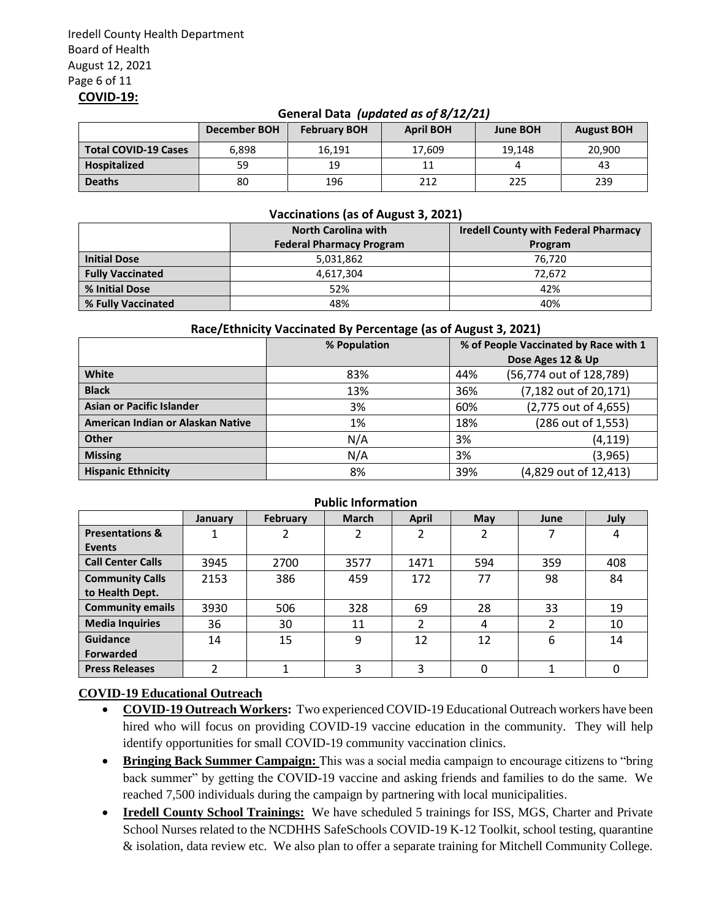#### **General Data** *(updated as of 8/12/21)*

|                             | <b>December BOH</b> | <b>February BOH</b> | <b>April BOH</b> | <b>June BOH</b> | <b>August BOH</b> |
|-----------------------------|---------------------|---------------------|------------------|-----------------|-------------------|
| <b>Total COVID-19 Cases</b> | 6,898               | 16,191              | 17.609           | 19.148          | 20,900            |
| Hospitalized                | 59                  | 19                  | 11               |                 | 43                |
| <b>Deaths</b>               | 80                  | 196                 | 212              | 225             | 239               |

#### **Vaccinations (as of August 3, 2021)**

|                         | <b>North Carolina with</b>      | <b>Iredell County with Federal Pharmacy</b> |  |  |
|-------------------------|---------------------------------|---------------------------------------------|--|--|
|                         | <b>Federal Pharmacy Program</b> | Program                                     |  |  |
| <b>Initial Dose</b>     | 5,031,862                       | 76.720                                      |  |  |
| <b>Fully Vaccinated</b> | 4,617,304                       | 72,672                                      |  |  |
| % Initial Dose          | 52%                             | 42%                                         |  |  |
| % Fully Vaccinated      | 48%                             | 40%                                         |  |  |

#### **Race/Ethnicity Vaccinated By Percentage (as of August 3, 2021)**

|                                   | % Population | % of People Vaccinated by Race with 1 |                         |
|-----------------------------------|--------------|---------------------------------------|-------------------------|
|                                   |              |                                       | Dose Ages 12 & Up       |
| White                             | 83%          | 44%                                   | (56,774 out of 128,789) |
| <b>Black</b>                      | 13%          | 36%                                   | (7,182 out of 20,171)   |
| <b>Asian or Pacific Islander</b>  | 3%           | 60%                                   | (2,775 out of 4,655)    |
| American Indian or Alaskan Native | 1%           | 18%                                   | (286 out of 1,553)      |
| Other                             | N/A          | 3%                                    | (4, 119)                |
| <b>Missing</b>                    | N/A          | 3%                                    | (3, 965)                |
| <b>Hispanic Ethnicity</b>         | 8%           | 39%                                   | (4,829 out of 12,413)   |

#### **Public Information January February March April May June July Presentations & Events** 1 2 2 2 2 2 7 4 **Call Center Calls** | 3945 | 2700 | 3577 | 1471 | 594 | 359 | 408 **Community Calls to Health Dept.** 2153 | 386 | 459 | 172 | 77 | 98 | 84 **Community emails** 3930 506 328 69 28 33 19 **Media Inquiries** | 36 | 30 | 11 | 2 | 4 | 2 | 10 **Guidance Forwarded** 14 | 15 | 9 | 12 | 12 | 6 | 14 **Press Releases** | 2 | 1 | 3 | 3 | 0 | 1 | 0

### **COVID-19 Educational Outreach**

- **COVID-19 Outreach Workers:** Two experienced COVID-19 Educational Outreach workers have been hired who will focus on providing COVID-19 vaccine education in the community. They will help identify opportunities for small COVID-19 community vaccination clinics.
- **Bringing Back Summer Campaign:** This was a social media campaign to encourage citizens to "bring back summer" by getting the COVID-19 vaccine and asking friends and families to do the same. We reached 7,500 individuals during the campaign by partnering with local municipalities.
- **Iredell County School Trainings:** We have scheduled 5 trainings for ISS, MGS, Charter and Private School Nurses related to the NCDHHS SafeSchools COVID-19 K-12 Toolkit, school testing, quarantine & isolation, data review etc. We also plan to offer a separate training for Mitchell Community College.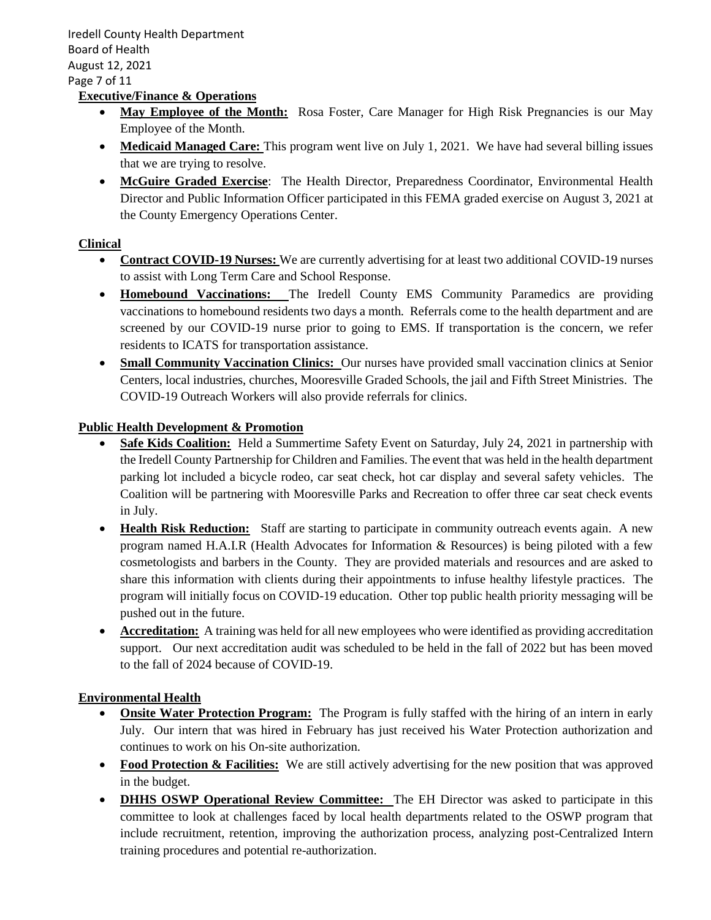Iredell County Health Department Board of Health August 12, 2021 Page 7 of 11

### **Executive/Finance & Operations**

- May Employee of the Month: Rosa Foster, Care Manager for High Risk Pregnancies is our May Employee of the Month.
- **Medicaid Managed Care:** This program went live on July 1, 2021. We have had several billing issues that we are trying to resolve.
- **McGuire Graded Exercise**: The Health Director, Preparedness Coordinator, Environmental Health Director and Public Information Officer participated in this FEMA graded exercise on August 3, 2021 at the County Emergency Operations Center.

#### **Clinical**

- **Contract COVID-19 Nurses:** We are currently advertising for at least two additional COVID-19 nurses to assist with Long Term Care and School Response.
- **Homebound Vaccinations:** The Iredell County EMS Community Paramedics are providing vaccinations to homebound residents two days a month. Referrals come to the health department and are screened by our COVID-19 nurse prior to going to EMS. If transportation is the concern, we refer residents to ICATS for transportation assistance.
- **Small Community Vaccination Clinics:** Our nurses have provided small vaccination clinics at Senior Centers, local industries, churches, Mooresville Graded Schools, the jail and Fifth Street Ministries. The COVID-19 Outreach Workers will also provide referrals for clinics.

#### **Public Health Development & Promotion**

- **Safe Kids Coalition:** Held a Summertime Safety Event on Saturday, July 24, 2021 in partnership with the Iredell County Partnership for Children and Families. The event that was held in the health department parking lot included a bicycle rodeo, car seat check, hot car display and several safety vehicles. The Coalition will be partnering with Mooresville Parks and Recreation to offer three car seat check events in July.
- **Health Risk Reduction:** Staff are starting to participate in community outreach events again. A new program named H.A.I.R (Health Advocates for Information & Resources) is being piloted with a few cosmetologists and barbers in the County. They are provided materials and resources and are asked to share this information with clients during their appointments to infuse healthy lifestyle practices. The program will initially focus on COVID-19 education. Other top public health priority messaging will be pushed out in the future.
- **Accreditation:** A training was held for all new employees who were identified as providing accreditation support. Our next accreditation audit was scheduled to be held in the fall of 2022 but has been moved to the fall of 2024 because of COVID-19.

#### **Environmental Health**

- **Onsite Water Protection Program:** The Program is fully staffed with the hiring of an intern in early July. Our intern that was hired in February has just received his Water Protection authorization and continues to work on his On-site authorization.
- **Food Protection & Facilities:** We are still actively advertising for the new position that was approved in the budget.
- **DHHS OSWP Operational Review Committee:** The EH Director was asked to participate in this committee to look at challenges faced by local health departments related to the OSWP program that include recruitment, retention, improving the authorization process, analyzing post-Centralized Intern training procedures and potential re-authorization.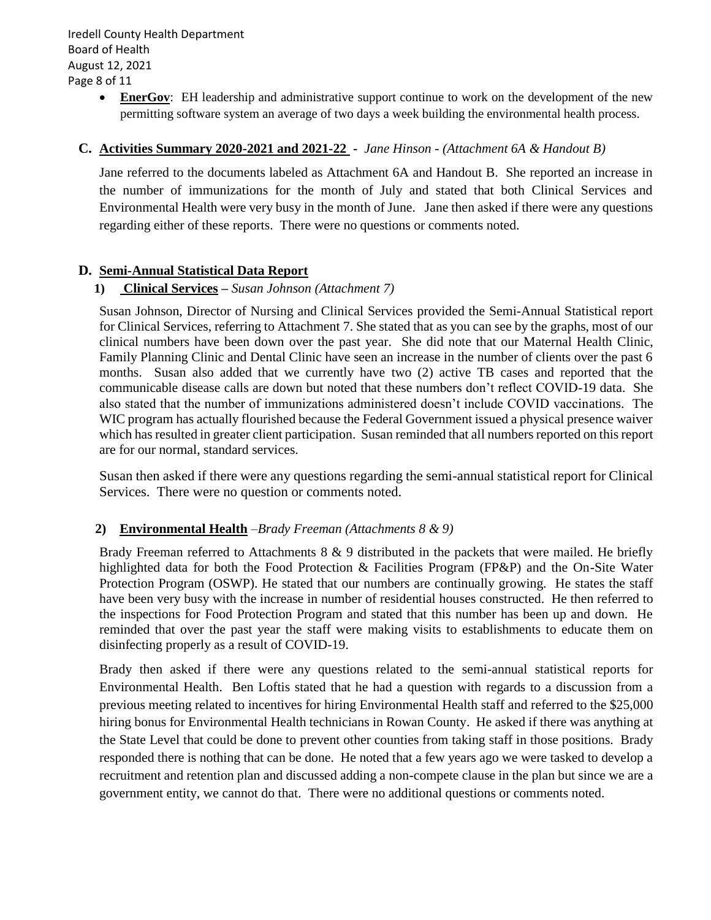**EnerGov:** EH leadership and administrative support continue to work on the development of the new permitting software system an average of two days a week building the environmental health process.

#### **C. Activities Summary 2020-2021 and 2021-22 -** *Jane Hinson - (Attachment 6A & Handout B)*

Jane referred to the documents labeled as Attachment 6A and Handout B. She reported an increase in the number of immunizations for the month of July and stated that both Clinical Services and Environmental Health were very busy in the month of June. Jane then asked if there were any questions regarding either of these reports. There were no questions or comments noted.

#### **D. Semi-Annual Statistical Data Report**

#### **1) Clinical Services –** *Susan Johnson (Attachment 7)*

Susan Johnson, Director of Nursing and Clinical Services provided the Semi-Annual Statistical report for Clinical Services, referring to Attachment 7. She stated that as you can see by the graphs, most of our clinical numbers have been down over the past year. She did note that our Maternal Health Clinic, Family Planning Clinic and Dental Clinic have seen an increase in the number of clients over the past 6 months. Susan also added that we currently have two (2) active TB cases and reported that the communicable disease calls are down but noted that these numbers don't reflect COVID-19 data. She also stated that the number of immunizations administered doesn't include COVID vaccinations. The WIC program has actually flourished because the Federal Government issued a physical presence waiver which has resulted in greater client participation. Susan reminded that all numbers reported on this report are for our normal, standard services.

Susan then asked if there were any questions regarding the semi-annual statistical report for Clinical Services. There were no question or comments noted.

#### **2) Environmental Health** –*Brady Freeman (Attachments 8 & 9)*

Brady Freeman referred to Attachments  $8 \& 9$  distributed in the packets that were mailed. He briefly highlighted data for both the Food Protection & Facilities Program (FP&P) and the On-Site Water Protection Program (OSWP). He stated that our numbers are continually growing. He states the staff have been very busy with the increase in number of residential houses constructed. He then referred to the inspections for Food Protection Program and stated that this number has been up and down. He reminded that over the past year the staff were making visits to establishments to educate them on disinfecting properly as a result of COVID-19.

Brady then asked if there were any questions related to the semi-annual statistical reports for Environmental Health. Ben Loftis stated that he had a question with regards to a discussion from a previous meeting related to incentives for hiring Environmental Health staff and referred to the \$25,000 hiring bonus for Environmental Health technicians in Rowan County. He asked if there was anything at the State Level that could be done to prevent other counties from taking staff in those positions. Brady responded there is nothing that can be done. He noted that a few years ago we were tasked to develop a recruitment and retention plan and discussed adding a non-compete clause in the plan but since we are a government entity, we cannot do that. There were no additional questions or comments noted.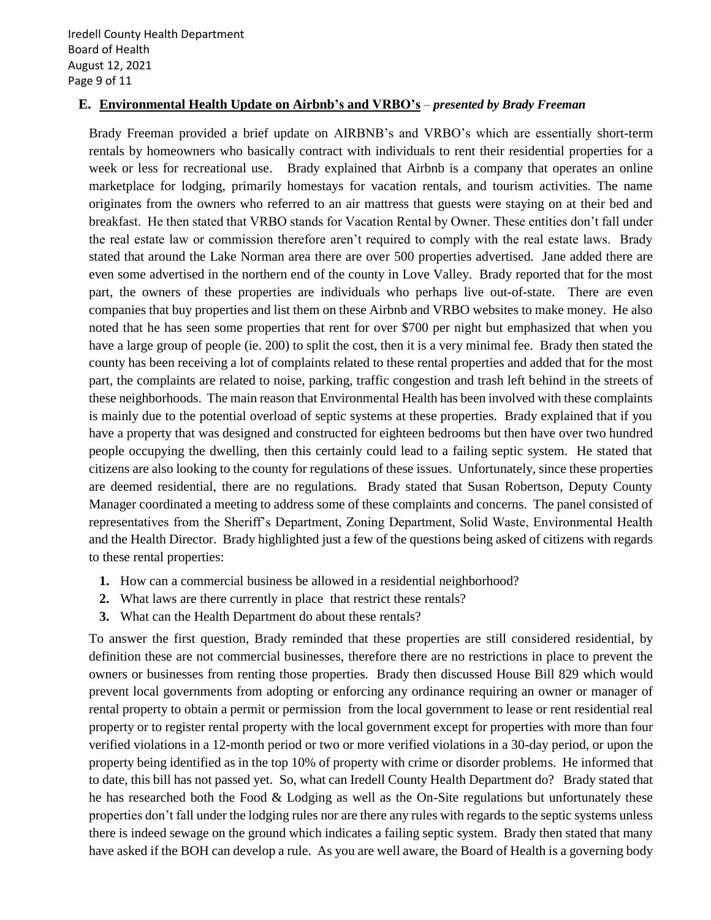#### **E. Environmental Health Update on Airbnb's and VRBO's** *– presented by Brady Freeman*

Brady Freeman provided a brief update on AIRBNB's and VRBO's which are essentially short-term rentals by homeowners who basically contract with individuals to rent their residential properties for a week or less for recreational use. Brady explained that Airbnb is a company that operates an online marketplace for lodging, primarily homestays for vacation rentals, and tourism activities. The name originates from the owners who referred to an air mattress that guests were staying on at their bed and breakfast. He then stated that VRBO stands for Vacation Rental by Owner. These entities don't fall under the real estate law or commission therefore aren't required to comply with the real estate laws. Brady stated that around the Lake Norman area there are over 500 properties advertised. Jane added there are even some advertised in the northern end of the county in Love Valley. Brady reported that for the most part, the owners of these properties are individuals who perhaps live out-of-state. There are even companies that buy properties and list them on these Airbnb and VRBO websites to make money. He also noted that he has seen some properties that rent for over \$700 per night but emphasized that when you have a large group of people (ie. 200) to split the cost, then it is a very minimal fee. Brady then stated the county has been receiving a lot of complaints related to these rental properties and added that for the most part, the complaints are related to noise, parking, traffic congestion and trash left behind in the streets of these neighborhoods. The main reason that Environmental Health has been involved with these complaints is mainly due to the potential overload of septic systems at these properties. Brady explained that if you have a property that was designed and constructed for eighteen bedrooms but then have over two hundred people occupying the dwelling, then this certainly could lead to a failing septic system. He stated that citizens are also looking to the county for regulations of these issues. Unfortunately, since these properties are deemed residential, there are no regulations. Brady stated that Susan Robertson, Deputy County Manager coordinated a meeting to address some of these complaints and concerns. The panel consisted of representatives from the Sheriff's Department, Zoning Department, Solid Waste, Environmental Health and the Health Director. Brady highlighted just a few of the questions being asked of citizens with regards to these rental properties:

- **1.** How can a commercial business be allowed in a residential neighborhood?
- **2.** What laws are there currently in place that restrict these rentals?
- **3.** What can the Health Department do about these rentals?

To answer the first question, Brady reminded that these properties are still considered residential, by definition these are not commercial businesses, therefore there are no restrictions in place to prevent the owners or businesses from renting those properties. Brady then discussed House Bill 829 which would prevent local governments from adopting or enforcing any ordinance requiring an owner or manager of rental property to obtain a permit or permission from the local government to lease or rent residential real property or to register rental property with the local government except for properties with more than four verified violations in a 12-month period or two or more verified violations in a 30-day period, or upon the property being identified as in the top 10% of property with crime or disorder problems. He informed that to date, this bill has not passed yet. So, what can Iredell County Health Department do? Brady stated that he has researched both the Food & Lodging as well as the On-Site regulations but unfortunately these properties don't fall under the lodging rules nor are there any rules with regards to the septic systems unless there is indeed sewage on the ground which indicates a failing septic system. Brady then stated that many have asked if the BOH can develop a rule. As you are well aware, the Board of Health is a governing body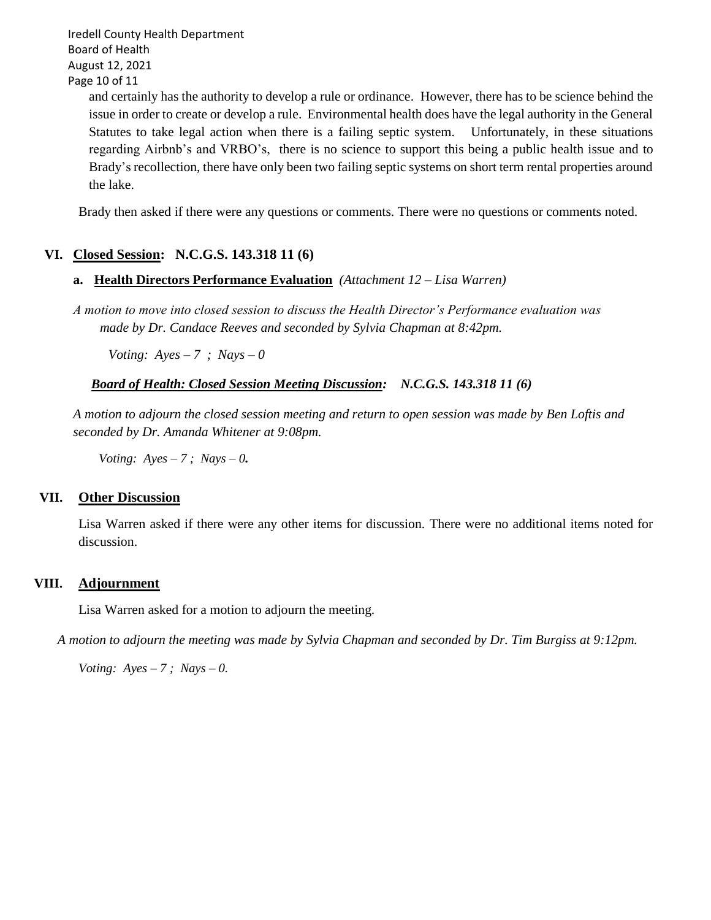Iredell County Health Department Board of Health August 12, 2021 Page 10 of 11

> and certainly has the authority to develop a rule or ordinance. However, there has to be science behind the issue in order to create or develop a rule. Environmental health does have the legal authority in the General Statutes to take legal action when there is a failing septic system. Unfortunately, in these situations regarding Airbnb's and VRBO's, there is no science to support this being a public health issue and to Brady's recollection, there have only been two failing septic systems on short term rental properties around the lake.

Brady then asked if there were any questions or comments. There were no questions or comments noted.

### **VI. Closed Session: N.C.G.S. 143.318 11 (6)**

#### **a. Health Directors Performance Evaluation** *(Attachment 12 – Lisa Warren)*

*A motion to move into closed session to discuss the Health Director's Performance evaluation was made by Dr. Candace Reeves and seconded by Sylvia Chapman at 8:42pm.*

*Voting: Ayes – 7 ; Nays – 0*

#### *Board of Health: Closed Session Meeting Discussion: N.C.G.S. 143.318 11 (6)*

*A motion to adjourn the closed session meeting and return to open session was made by Ben Loftis and seconded by Dr. Amanda Whitener at 9:08pm.*

 *Voting: Ayes – 7 ; Nays – 0.*

#### **VII. Other Discussion**

Lisa Warren asked if there were any other items for discussion. There were no additional items noted for discussion.

#### **VIII. Adjournment**

Lisa Warren asked for a motion to adjourn the meeting.

*A motion to adjourn the meeting was made by Sylvia Chapman and seconded by Dr. Tim Burgiss at 9:12pm.*

*Voting: Ayes – 7 ; Nays – 0.*